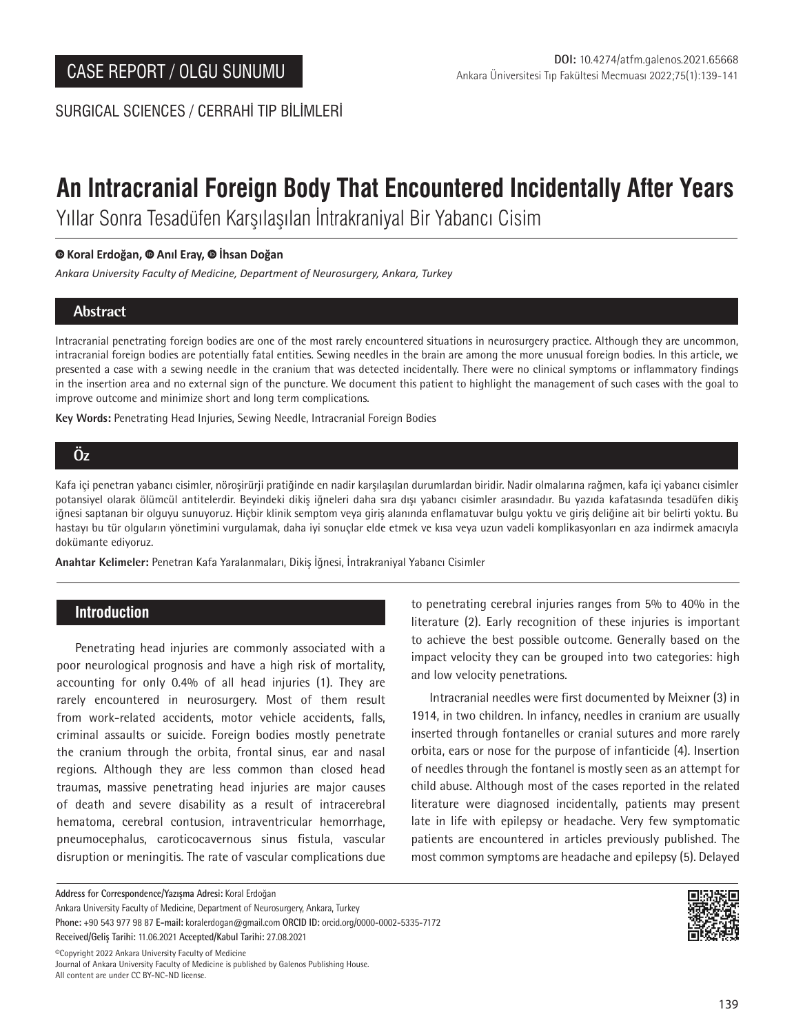SURGICAL SCIENCES / CERRAHİ TIP BİLİMLERİ

# **An Intracranial Foreign Body That Encountered Incidentally After Years**

Yıllar Sonra Tesadüfen Karşılaşılan İntrakraniyal Bir Yabancı Cisim

## **Koral Erdoğan,Anıl Eray,İhsan Doğan**

*Ankara University Faculty of Medicine, Department of Neurosurgery, Ankara, Turkey*

# **Abstract**

Intracranial penetrating foreign bodies are one of the most rarely encountered situations in neurosurgery practice. Although they are uncommon, intracranial foreign bodies are potentially fatal entities. Sewing needles in the brain are among the more unusual foreign bodies. In this article, we presented a case with a sewing needle in the cranium that was detected incidentally. There were no clinical symptoms or inflammatory findings in the insertion area and no external sign of the puncture. We document this patient to highlight the management of such cases with the goal to improve outcome and minimize short and long term complications.

**Key Words:** Penetrating Head Injuries, Sewing Needle, Intracranial Foreign Bodies

# **Öz**

Kafa içi penetran yabancı cisimler, nöroşirürji pratiğinde en nadir karşılaşılan durumlardan biridir. Nadir olmalarına rağmen, kafa içi yabancı cisimler potansiyel olarak ölümcül antitelerdir. Beyindeki dikiş iğneleri daha sıra dışı yabancı cisimler arasındadır. Bu yazıda kafatasında tesadüfen dikiş iğnesi saptanan bir olguyu sunuyoruz. Hiçbir klinik semptom veya giriş alanında enflamatuvar bulgu yoktu ve giriş deliğine ait bir belirti yoktu. Bu hastayı bu tür olguların yönetimini vurgulamak, daha iyi sonuçlar elde etmek ve kısa veya uzun vadeli komplikasyonları en aza indirmek amacıyla dokümante ediyoruz.

**Anahtar Kelimeler:** Penetran Kafa Yaralanmaları, Dikiş İğnesi, İntrakraniyal Yabancı Cisimler

# **Introduction**

Penetrating head injuries are commonly associated with a poor neurological prognosis and have a high risk of mortality, accounting for only 0.4% of all head injuries (1). They are rarely encountered in neurosurgery. Most of them result from work-related accidents, motor vehicle accidents, falls, criminal assaults or suicide. Foreign bodies mostly penetrate the cranium through the orbita, frontal sinus, ear and nasal regions. Although they are less common than closed head traumas, massive penetrating head injuries are major causes of death and severe disability as a result of intracerebral hematoma, cerebral contusion, intraventricular hemorrhage, pneumocephalus, caroticocavernous sinus fistula, vascular disruption or meningitis. The rate of vascular complications due to penetrating cerebral injuries ranges from 5% to 40% in the literature (2). Early recognition of these injuries is important to achieve the best possible outcome. Generally based on the impact velocity they can be grouped into two categories: high and low velocity penetrations.

Intracranial needles were first documented by Meixner (3) in 1914, in two children. In infancy, needles in cranium are usually inserted through fontanelles or cranial sutures and more rarely orbita, ears or nose for the purpose of infanticide (4). Insertion of needles through the fontanel is mostly seen as an attempt for child abuse. Although most of the cases reported in the related literature were diagnosed incidentally, patients may present late in life with epilepsy or headache. Very few symptomatic patients are encountered in articles previously published. The most common symptoms are headache and epilepsy (5). Delayed

**Address for Correspondence/Yazışma Adresi:** Koral Erdoğan Ankara University Faculty of Medicine, Department of Neurosurgery, Ankara, Turkey **Phone:** +90 543 977 98 87 **E-mail:** koralerdogan@gmail.com **ORCID ID:** orcid.org/0000-0002-5335-7172 **Received/Geliş Tarihi:** 11.06.2021 **Accepted/Kabul Tarihi:** 27.08.2021

©️Copyright 2022 Ankara University Faculty of Medicine Journal of Ankara University Faculty of Medicine is published by Galenos Publishing House. All content are under CC BY-NC-ND license.

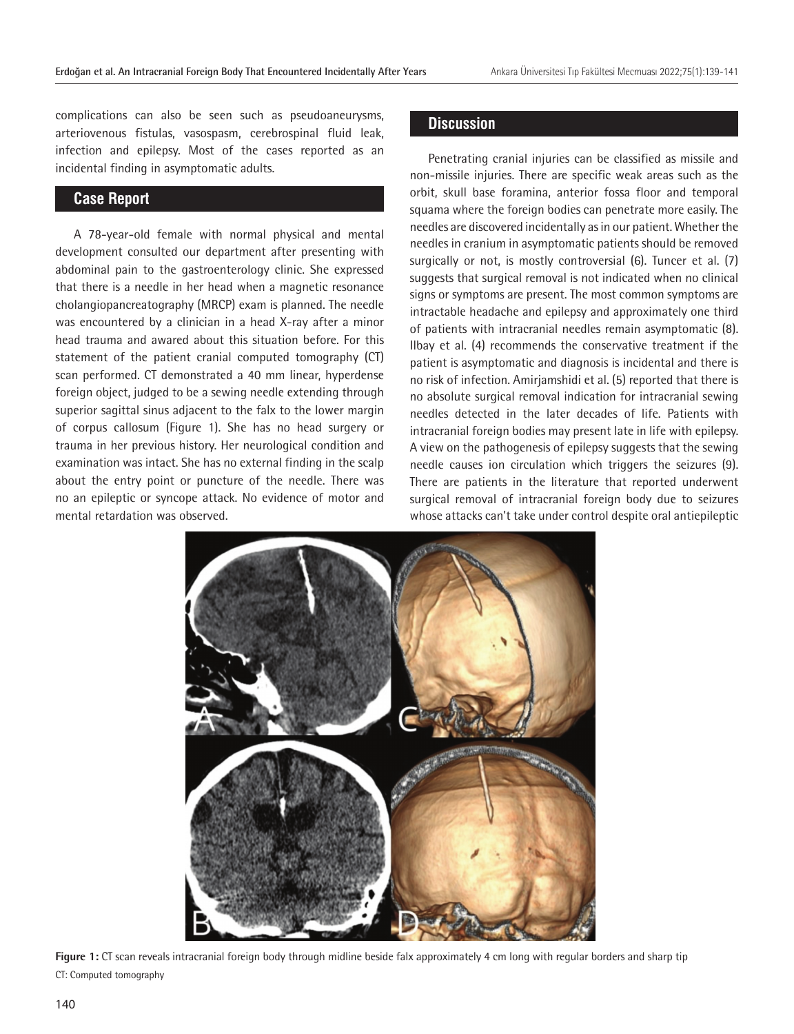complications can also be seen such as pseudoaneurysms, arteriovenous fistulas, vasospasm, cerebrospinal fluid leak, infection and epilepsy. Most of the cases reported as an incidental finding in asymptomatic adults.

## **Case Report**

A 78-year-old female with normal physical and mental development consulted our department after presenting with abdominal pain to the gastroenterology clinic. She expressed that there is a needle in her head when a magnetic resonance cholangiopancreatography (MRCP) exam is planned. The needle was encountered by a clinician in a head X-ray after a minor head trauma and awared about this situation before. For this statement of the patient cranial computed tomography (CT) scan performed. CT demonstrated a 40 mm linear, hyperdense foreign object, judged to be a sewing needle extending through superior sagittal sinus adjacent to the falx to the lower margin of corpus callosum (Figure 1). She has no head surgery or trauma in her previous history. Her neurological condition and examination was intact. She has no external finding in the scalp about the entry point or puncture of the needle. There was no an epileptic or syncope attack. No evidence of motor and mental retardation was observed.

## **Discussion**

Penetrating cranial injuries can be classified as missile and non-missile injuries. There are specific weak areas such as the orbit, skull base foramina, anterior fossa floor and temporal squama where the foreign bodies can penetrate more easily. The needles are discovered incidentally as in our patient. Whether the needles in cranium in asymptomatic patients should be removed surgically or not, is mostly controversial (6). Tuncer et al. (7) suggests that surgical removal is not indicated when no clinical signs or symptoms are present. The most common symptoms are intractable headache and epilepsy and approximately one third of patients with intracranial needles remain asymptomatic (8). Ilbay et al. (4) recommends the conservative treatment if the patient is asymptomatic and diagnosis is incidental and there is no risk of infection. Amirjamshidi et al. (5) reported that there is no absolute surgical removal indication for intracranial sewing needles detected in the later decades of life. Patients with intracranial foreign bodies may present late in life with epilepsy. A view on the pathogenesis of epilepsy suggests that the sewing needle causes ion circulation which triggers the seizures (9). There are patients in the literature that reported underwent surgical removal of intracranial foreign body due to seizures whose attacks can't take under control despite oral antiepileptic



**Figure 1:** CT scan reveals intracranial foreign body through midline beside falx approximately 4 cm long with regular borders and sharp tip CT: Computed tomography